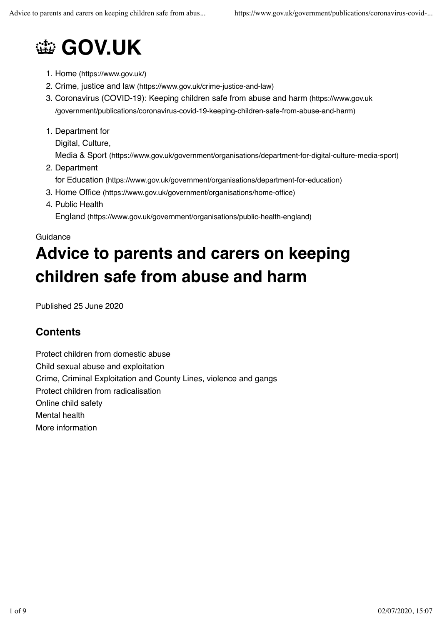# **@ GOV.UK**

- 1. Home (https://www.gov.uk/)
- 2. Crime, justice and law (https://www.gov.uk/crime-justice-and-law)
- 3. Coronavirus (COVID-19): Keeping children safe from abuse and harm (https://www.gov.uk /government/publications/coronavirus-covid-19-keeping-children-safe-from-abuse-and-harm)
- 1. Department for

Digital, Culture,

Media & Sport (https://www.gov.uk/government/organisations/department-for-digital-culture-media-sport)

2. Department

for Education (https://www.gov.uk/government/organisations/department-for-education)

- 3. Home Office (https://www.gov.uk/government/organisations/home-office)
- 4. Public Health

England (https://www.gov.uk/government/organisations/public-health-england)

## **Guidance Advice to parents and carers on keeping children safe from abuse and harm**

Published 25 June 2020

### **Contents**

Protect children from domestic abuse Child sexual abuse and exploitation Crime, Criminal Exploitation and County Lines, violence and gangs Protect children from radicalisation Online child safety Mental health More information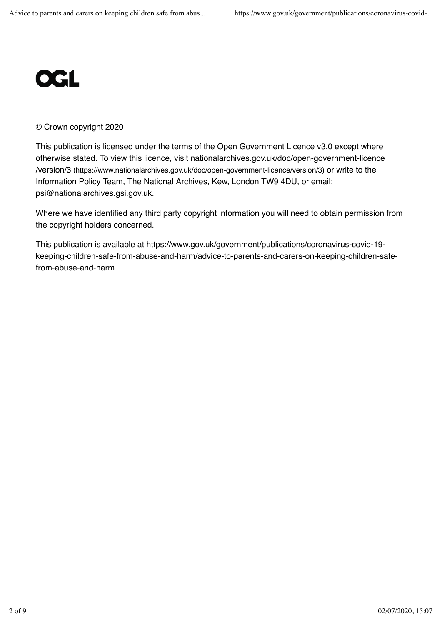

#### © Crown copyright 2020

This publication is licensed under the terms of the Open Government Licence v3.0 except where otherwise stated. To view this licence, visit nationalarchives.gov.uk/doc/open-government-licence /version/3 (https://www.nationalarchives.gov.uk/doc/open-government-licence/version/3) or write to the Information Policy Team, The National Archives, Kew, London TW9 4DU, or email: psi@nationalarchives.gsi.gov.uk.

Where we have identified any third party copyright information you will need to obtain permission from the copyright holders concerned.

This publication is available at https://www.gov.uk/government/publications/coronavirus-covid-19 keeping-children-safe-from-abuse-and-harm/advice-to-parents-and-carers-on-keeping-children-safefrom-abuse-and-harm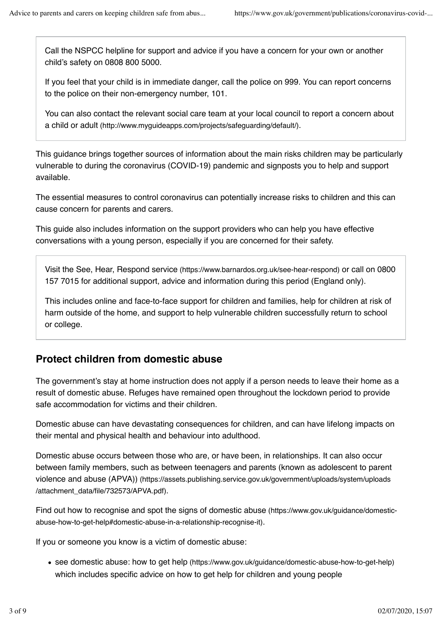Call the NSPCC helpline for support and advice if you have a concern for your own or another child's safety on 0808 800 5000.

If you feel that your child is in immediate danger, call the police on 999. You can report concerns to the police on their non-emergency number, 101.

You can also contact the relevant social care team at your local council to report a concern about a child or adult (http://www.myguideapps.com/projects/safeguarding/default/).

This guidance brings together sources of information about the main risks children may be particularly vulnerable to during the coronavirus (COVID-19) pandemic and signposts you to help and support available.

The essential measures to control coronavirus can potentially increase risks to children and this can cause concern for parents and carers.

This guide also includes information on the support providers who can help you have effective conversations with a young person, especially if you are concerned for their safety.

Visit the See, Hear, Respond service (https://www.barnardos.org.uk/see-hear-respond) or call on 0800 157 7015 for additional support, advice and information during this period (England only).

This includes online and face-to-face support for children and families, help for children at risk of harm outside of the home, and support to help vulnerable children successfully return to school or college.

### **Protect children from domestic abuse**

The government's stay at home instruction does not apply if a person needs to leave their home as a result of domestic abuse. Refuges have remained open throughout the lockdown period to provide safe accommodation for victims and their children.

Domestic abuse can have devastating consequences for children, and can have lifelong impacts on their mental and physical health and behaviour into adulthood.

Domestic abuse occurs between those who are, or have been, in relationships. It can also occur between family members, such as between teenagers and parents (known as adolescent to parent violence and abuse (APVA)) (https://assets.publishing.service.gov.uk/government/uploads/system/uploads /attachment\_data/file/732573/APVA.pdf).

Find out how to recognise and spot the signs of domestic abuse (https://www.gov.uk/guidance/domesticabuse-how-to-get-help#domestic-abuse-in-a-relationship-recognise-it).

If you or someone you know is a victim of domestic abuse:

see domestic abuse: how to get help (https://www.gov.uk/guidance/domestic-abuse-how-to-get-help) which includes specific advice on how to get help for children and young people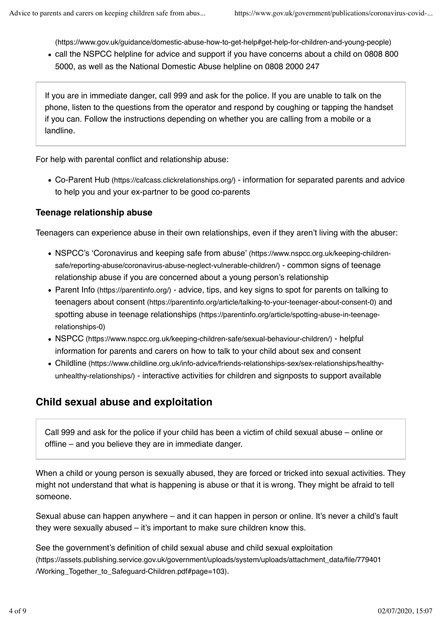(https://www.gov.uk/guidance/domestic-abuse-how-to-get-help#get-help-for-children-and-young-people)

call the NSPCC helpline for advice and support if you have concerns about a child on 0808 800 5000, as well as the National Domestic Abuse helpline on 0808 2000 247

If you are in immediate danger, call 999 and ask for the police. If you are unable to talk on the phone, listen to the questions from the operator and respond by coughing or tapping the handset if you can. Follow the instructions depending on whether you are calling from a mobile or a landline.

For help with parental conflict and relationship abuse:

Co-Parent Hub (https://cafcass.clickrelationships.org/) - information for separated parents and advice to help you and your ex-partner to be good co-parents

#### **Teenage relationship abuse**

Teenagers can experience abuse in their own relationships, even if they aren't living with the abuser:

- NSPCC's 'Coronavirus and keeping safe from abuse' (https://www.nspcc.org.uk/keeping-childrensafe/reporting-abuse/coronavirus-abuse-neglect-vulnerable-children/) - common signs of teenage relationship abuse if you are concerned about a young person's relationship
- Parent Info (https://parentinfo.org/) advice, tips, and key signs to spot for parents on talking to teenagers about consent (https://parentinfo.org/article/talking-to-your-teenager-about-consent-0) and spotting abuse in teenage relationships (https://parentinfo.org/article/spotting-abuse-in-teenagerelationships-0)
- NSPCC (https://www.nspcc.org.uk/keeping-children-safe/sexual-behaviour-children/) helpful information for parents and carers on how to talk to your child about sex and consent
- Childline (https://www.childline.org.uk/info-advice/friends-relationships-sex/sex-relationships/healthyunhealthy-relationships/) - interactive activities for children and signposts to support available

### **Child sexual abuse and exploitation**

Call 999 and ask for the police if your child has been a victim of child sexual abuse – online or offline – and you believe they are in immediate danger.

When a child or young person is sexually abused, they are forced or tricked into sexual activities. They might not understand that what is happening is abuse or that it is wrong. They might be afraid to tell someone.

Sexual abuse can happen anywhere – and it can happen in person or online. It's never a child's fault they were sexually abused – it's important to make sure children know this.

See the government's definition of child sexual abuse and child sexual exploitation (https://assets.publishing.service.gov.uk/government/uploads/system/uploads/attachment\_data/file/779401 /Working\_Together\_to\_Safeguard-Children.pdf#page=103).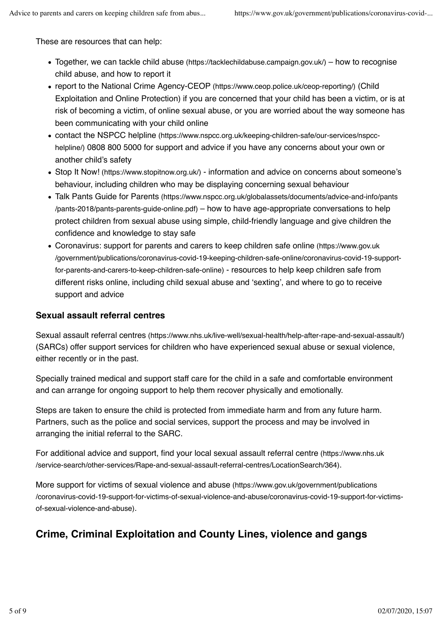These are resources that can help:

- $\bullet$  Together, we can tackle child abuse (https://tacklechildabuse.campaign.gov.uk/) how to recognise child abuse, and how to report it
- report to the National Crime Agency-CEOP (https://www.ceop.police.uk/ceop-reporting/) (Child Exploitation and Online Protection) if you are concerned that your child has been a victim, or is at risk of becoming a victim, of online sexual abuse, or you are worried about the way someone has been communicating with your child online
- contact the NSPCC helpline (https://www.nspcc.org.uk/keeping-children-safe/our-services/nspcchelpline/) 0808 800 5000 for support and advice if you have any concerns about your own or another child's safety
- Stop It Now! (https://www.stopitnow.org.uk/) information and advice on concerns about someone's behaviour, including children who may be displaying concerning sexual behaviour
- Talk Pants Guide for Parents (https://www.nspcc.org.uk/globalassets/documents/advice-and-info/pants /pants-2018/pants-parents-guide-online.pdf) – how to have age-appropriate conversations to help protect children from sexual abuse using simple, child-friendly language and give children the confidence and knowledge to stay safe
- Coronavirus: support for parents and carers to keep children safe online (https://www.gov.uk /government/publications/coronavirus-covid-19-keeping-children-safe-online/coronavirus-covid-19-supportfor-parents-and-carers-to-keep-children-safe-online) - resources to help keep children safe from different risks online, including child sexual abuse and 'sexting', and where to go to receive support and advice

### **Sexual assault referral centres**

Sexual assault referral centres (https://www.nhs.uk/live-well/sexual-health/help-after-rape-and-sexual-assault/) (SARCs) offer support services for children who have experienced sexual abuse or sexual violence, either recently or in the past.

Specially trained medical and support staff care for the child in a safe and comfortable environment and can arrange for ongoing support to help them recover physically and emotionally.

Steps are taken to ensure the child is protected from immediate harm and from any future harm. Partners, such as the police and social services, support the process and may be involved in arranging the initial referral to the SARC.

For additional advice and support, find your local sexual assault referral centre (https://www.nhs.uk /service-search/other-services/Rape-and-sexual-assault-referral-centres/LocationSearch/364).

More support for victims of sexual violence and abuse (https://www.gov.uk/government/publications /coronavirus-covid-19-support-for-victims-of-sexual-violence-and-abuse/coronavirus-covid-19-support-for-victimsof-sexual-violence-and-abuse).

### **Crime, Criminal Exploitation and County Lines, violence and gangs**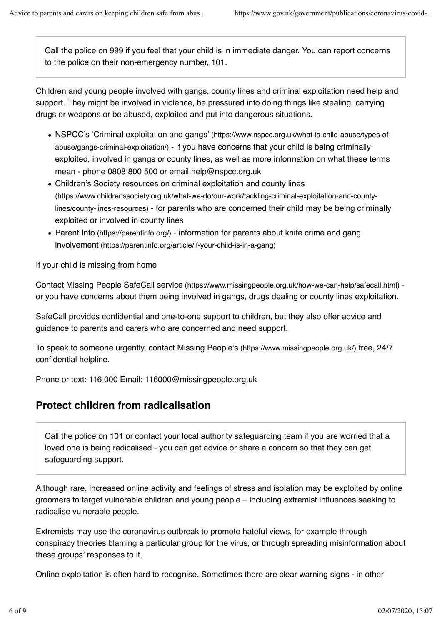Call the police on 999 if you feel that your child is in immediate danger. You can report concerns to the police on their non-emergency number, 101.

Children and young people involved with gangs, county lines and criminal exploitation need help and support. They might be involved in violence, be pressured into doing things like stealing, carrying drugs or weapons or be abused, exploited and put into dangerous situations.

- NSPCC's 'Criminal exploitation and gangs' (https://www.nspcc.org.uk/what-is-child-abuse/types-ofabuse/gangs-criminal-exploitation/) - if you have concerns that your child is being criminally exploited, involved in gangs or county lines, as well as more information on what these terms mean - phone 0808 800 500 or email help@nspcc.org.uk
- Children's Society resources on criminal exploitation and county lines (https://www.childrenssociety.org.uk/what-we-do/our-work/tackling-criminal-exploitation-and-countylines/county-lines-resources) - for parents who are concerned their child may be being criminally exploited or involved in county lines
- Parent Info (https://parentinfo.org/) information for parents about knife crime and gang involvement (https://parentinfo.org/article/if-your-child-is-in-a-gang)

If your child is missing from home

Contact Missing People SafeCall service (https://www.missingpeople.org.uk/how-we-can-help/safecall.html) or you have concerns about them being involved in gangs, drugs dealing or county lines exploitation.

SafeCall provides confidential and one-to-one support to children, but they also offer advice and guidance to parents and carers who are concerned and need support.

To speak to someone urgently, contact Missing People's (https://www.missingpeople.org.uk/) free, 24/7 confidential helpline.

Phone or text: 116 000 Email: 116000@missingpeople.org.uk

### **Protect children from radicalisation**

Call the police on 101 or contact your local authority safeguarding team if you are worried that a loved one is being radicalised - you can get advice or share a concern so that they can get safeguarding support.

Although rare, increased online activity and feelings of stress and isolation may be exploited by online groomers to target vulnerable children and young people – including extremist influences seeking to radicalise vulnerable people.

Extremists may use the coronavirus outbreak to promote hateful views, for example through conspiracy theories blaming a particular group for the virus, or through spreading misinformation about these groups' responses to it.

Online exploitation is often hard to recognise. Sometimes there are clear warning signs - in other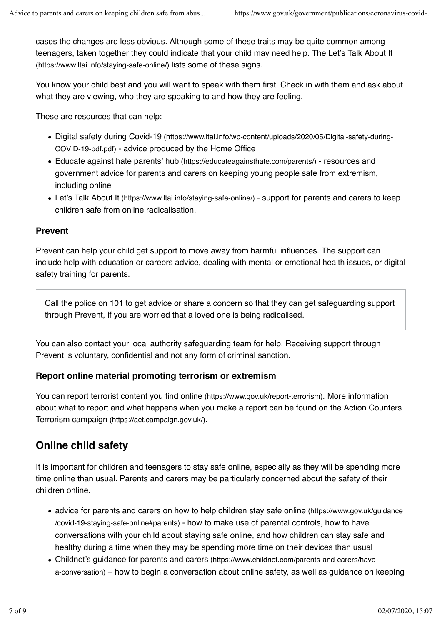cases the changes are less obvious. Although some of these traits may be quite common among teenagers, taken together they could indicate that your child may need help. The Let's Talk About It (https://www.ltai.info/staying-safe-online/) lists some of these signs.

You know your child best and you will want to speak with them first. Check in with them and ask about what they are viewing, who they are speaking to and how they are feeling.

These are resources that can help:

- Digital safety during Covid-19 (https://www.ltai.info/wp-content/uploads/2020/05/Digital-safety-during-COVID-19-pdf.pdf) - advice produced by the Home Office
- Educate against hate parents' hub (https://educateagainsthate.com/parents/) resources and government advice for parents and carers on keeping young people safe from extremism, including online
- Let's Talk About It (https://www.ltai.info/staying-safe-online/) support for parents and carers to keep children safe from online radicalisation.

#### **Prevent**

Prevent can help your child get support to move away from harmful influences. The support can include help with education or careers advice, dealing with mental or emotional health issues, or digital safety training for parents.

Call the police on 101 to get advice or share a concern so that they can get safeguarding support through Prevent, if you are worried that a loved one is being radicalised.

You can also contact your local authority safeguarding team for help. Receiving support through Prevent is voluntary, confidential and not any form of criminal sanction.

#### **Report online material promoting terrorism or extremism**

You can report terrorist content you find online (https://www.gov.uk/report-terrorism). More information about what to report and what happens when you make a report can be found on the Action Counters Terrorism campaign (https://act.campaign.gov.uk/).

### **Online child safety**

It is important for children and teenagers to stay safe online, especially as they will be spending more time online than usual. Parents and carers may be particularly concerned about the safety of their children online.

- advice for parents and carers on how to help children stay safe online (https://www.gov.uk/guidance /covid-19-staying-safe-online#parents) - how to make use of parental controls, how to have conversations with your child about staying safe online, and how children can stay safe and healthy during a time when they may be spending more time on their devices than usual
- Childnet's guidance for parents and carers (https://www.childnet.com/parents-and-carers/havea-conversation) – how to begin a conversation about online safety, as well as guidance on keeping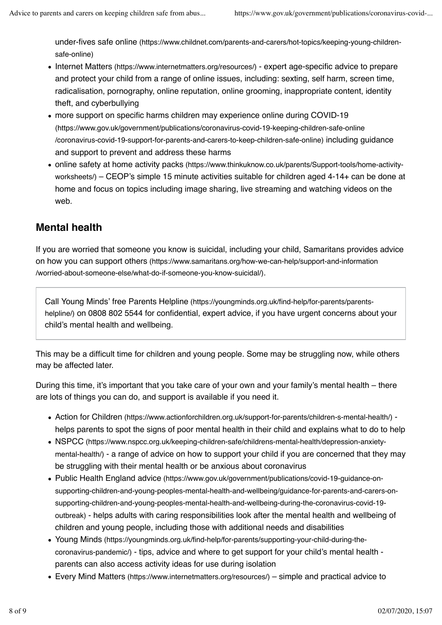under-fives safe online (https://www.childnet.com/parents-and-carers/hot-topics/keeping-young-childrensafe-online)

- Internet Matters (https://www.internetmatters.org/resources/) expert age-specific advice to prepare and protect your child from a range of online issues, including: sexting, self harm, screen time, radicalisation, pornography, online reputation, online grooming, inappropriate content, identity theft, and cyberbullying
- more support on specific harms children may experience online during COVID-19 (https://www.gov.uk/government/publications/coronavirus-covid-19-keeping-children-safe-online /coronavirus-covid-19-support-for-parents-and-carers-to-keep-children-safe-online) including guidance and support to prevent and address these harms
- online safety at home activity packs (https://www.thinkuknow.co.uk/parents/Support-tools/home-activityworksheets/) – CEOP's simple 15 minute activities suitable for children aged 4-14+ can be done at home and focus on topics including image sharing, live streaming and watching videos on the web.

### **Mental health**

If you are worried that someone you know is suicidal, including your child, Samaritans provides advice on how you can support others (https://www.samaritans.org/how-we-can-help/support-and-information /worried-about-someone-else/what-do-if-someone-you-know-suicidal/).

Call Young Minds' free Parents Helpline (https://youngminds.org.uk/find-help/for-parents/parentshelpline/) on 0808 802 5544 for confidential, expert advice, if you have urgent concerns about your child's mental health and wellbeing.

This may be a difficult time for children and young people. Some may be struggling now, while others may be affected later.

During this time, it's important that you take care of your own and your family's mental health – there are lots of things you can do, and support is available if you need it.

- Action for Children (https://www.actionforchildren.org.uk/support-for-parents/children-s-mental-health/) helps parents to spot the signs of poor mental health in their child and explains what to do to help
- NSPCC (https://www.nspcc.org.uk/keeping-children-safe/childrens-mental-health/depression-anxietymental-health/) - a range of advice on how to support your child if you are concerned that they may be struggling with their mental health or be anxious about coronavirus
- Public Health England advice (https://www.gov.uk/government/publications/covid-19-guidance-onsupporting-children-and-young-peoples-mental-health-and-wellbeing/guidance-for-parents-and-carers-onsupporting-children-and-young-peoples-mental-health-and-wellbeing-during-the-coronavirus-covid-19 outbreak) - helps adults with caring responsibilities look after the mental health and wellbeing of children and young people, including those with additional needs and disabilities
- Young Minds (https://youngminds.org.uk/find-help/for-parents/supporting-your-child-during-thecoronavirus-pandemic/) - tips, advice and where to get support for your child's mental health parents can also access activity ideas for use during isolation
- Every Mind Matters (https://www.internetmatters.org/resources/) simple and practical advice to